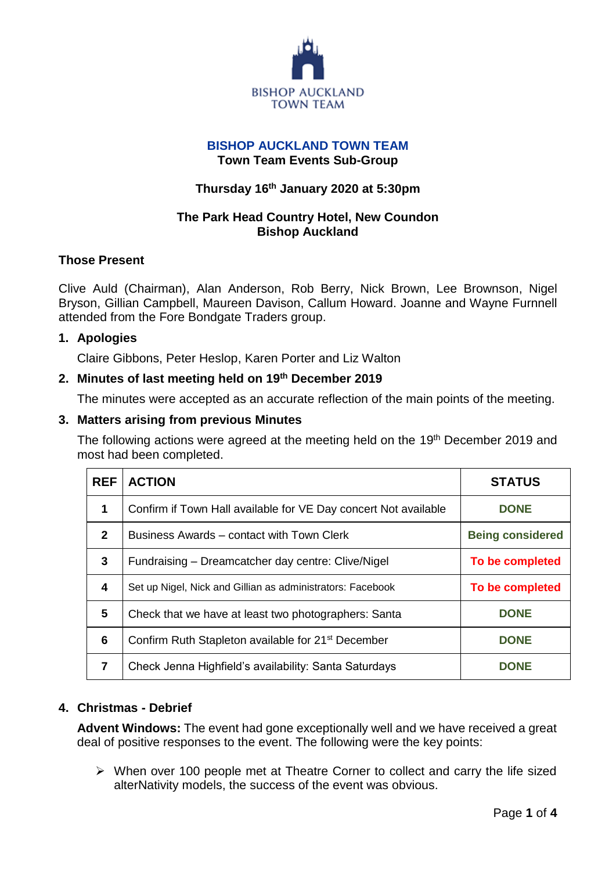

### **BISHOP AUCKLAND TOWN TEAM Town Team Events Sub-Group**

# **Thursday 16 th January 2020 at 5:30pm**

# **The Park Head Country Hotel, New Coundon Bishop Auckland**

### **Those Present**

Clive Auld (Chairman), Alan Anderson, Rob Berry, Nick Brown, Lee Brownson, Nigel Bryson, Gillian Campbell, Maureen Davison, Callum Howard. Joanne and Wayne Furnnell attended from the Fore Bondgate Traders group.

### **1. Apologies**

Claire Gibbons, Peter Heslop, Karen Porter and Liz Walton

## **2. Minutes of last meeting held on 19th December 2019**

The minutes were accepted as an accurate reflection of the main points of the meeting.

### **3. Matters arising from previous Minutes**

The following actions were agreed at the meeting held on the 19<sup>th</sup> December 2019 and most had been completed.

| <b>REF</b>   | <b>ACTION</b>                                                   | <b>STATUS</b>           |
|--------------|-----------------------------------------------------------------|-------------------------|
| $\mathbf{1}$ | Confirm if Town Hall available for VE Day concert Not available | <b>DONE</b>             |
| $\mathbf{2}$ | Business Awards – contact with Town Clerk                       | <b>Being considered</b> |
| $\mathbf{3}$ | Fundraising – Dreamcatcher day centre: Clive/Nigel              | To be completed         |
| 4            | Set up Nigel, Nick and Gillian as administrators: Facebook      | To be completed         |
| 5            | Check that we have at least two photographers: Santa            | <b>DONE</b>             |
| 6            | Confirm Ruth Stapleton available for 21 <sup>st</sup> December  | <b>DONE</b>             |
| 7            | Check Jenna Highfield's availability: Santa Saturdays           | <b>DONE</b>             |

## **4. Christmas - Debrief**

**Advent Windows:** The event had gone exceptionally well and we have received a great deal of positive responses to the event. The following were the key points:

 $\triangleright$  When over 100 people met at Theatre Corner to collect and carry the life sized alterNativity models, the success of the event was obvious.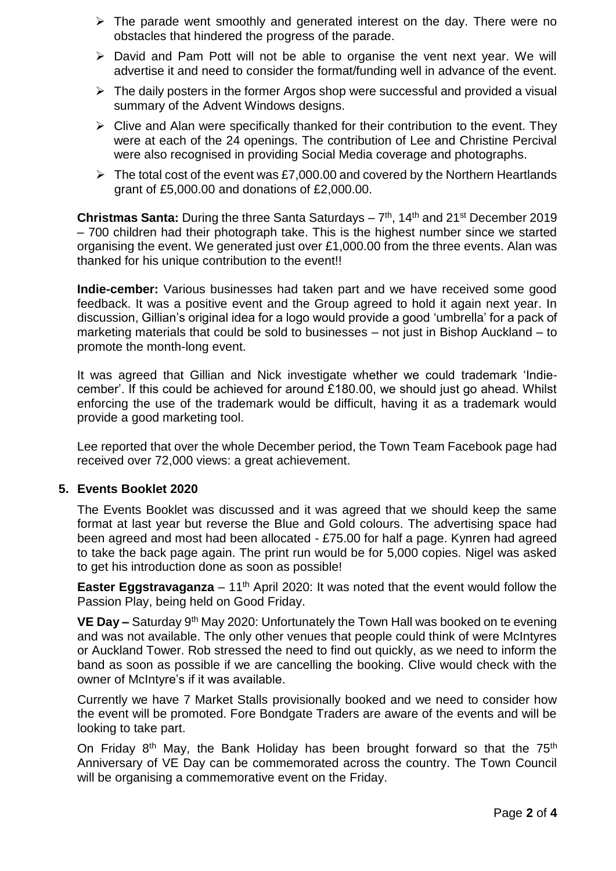- $\triangleright$  The parade went smoothly and generated interest on the day. There were no obstacles that hindered the progress of the parade.
- $\triangleright$  David and Pam Pott will not be able to organise the vent next year. We will advertise it and need to consider the format/funding well in advance of the event.
- $\triangleright$  The daily posters in the former Argos shop were successful and provided a visual summary of the Advent Windows designs.
- $\triangleright$  Clive and Alan were specifically thanked for their contribution to the event. They were at each of the 24 openings. The contribution of Lee and Christine Percival were also recognised in providing Social Media coverage and photographs.
- $\triangleright$  The total cost of the event was £7,000.00 and covered by the Northern Heartlands grant of £5,000.00 and donations of £2,000.00.

**Christmas Santa:** During the three Santa Saturdays – 7<sup>th</sup>, 14<sup>th</sup> and 21<sup>st</sup> December 2019 – 700 children had their photograph take. This is the highest number since we started organising the event. We generated just over £1,000.00 from the three events. Alan was thanked for his unique contribution to the event!!

**Indie-cember:** Various businesses had taken part and we have received some good feedback. It was a positive event and the Group agreed to hold it again next year. In discussion, Gillian's original idea for a logo would provide a good 'umbrella' for a pack of marketing materials that could be sold to businesses – not just in Bishop Auckland – to promote the month-long event.

It was agreed that Gillian and Nick investigate whether we could trademark 'Indiecember'. If this could be achieved for around £180.00, we should just go ahead. Whilst enforcing the use of the trademark would be difficult, having it as a trademark would provide a good marketing tool.

Lee reported that over the whole December period, the Town Team Facebook page had received over 72,000 views: a great achievement.

## **5. Events Booklet 2020**

The Events Booklet was discussed and it was agreed that we should keep the same format at last year but reverse the Blue and Gold colours. The advertising space had been agreed and most had been allocated - £75.00 for half a page. Kynren had agreed to take the back page again. The print run would be for 5,000 copies. Nigel was asked to get his introduction done as soon as possible!

**Easter Eggstravaganza** – 11<sup>th</sup> April 2020: It was noted that the event would follow the Passion Play, being held on Good Friday.

**VE Day –** Saturday 9<sup>th</sup> May 2020: Unfortunately the Town Hall was booked on te evening and was not available. The only other venues that people could think of were McIntyres or Auckland Tower. Rob stressed the need to find out quickly, as we need to inform the band as soon as possible if we are cancelling the booking. Clive would check with the owner of McIntyre's if it was available.

Currently we have 7 Market Stalls provisionally booked and we need to consider how the event will be promoted. Fore Bondgate Traders are aware of the events and will be looking to take part.

On Friday 8<sup>th</sup> May, the Bank Holiday has been brought forward so that the 75<sup>th</sup> Anniversary of VE Day can be commemorated across the country. The Town Council will be organising a commemorative event on the Friday.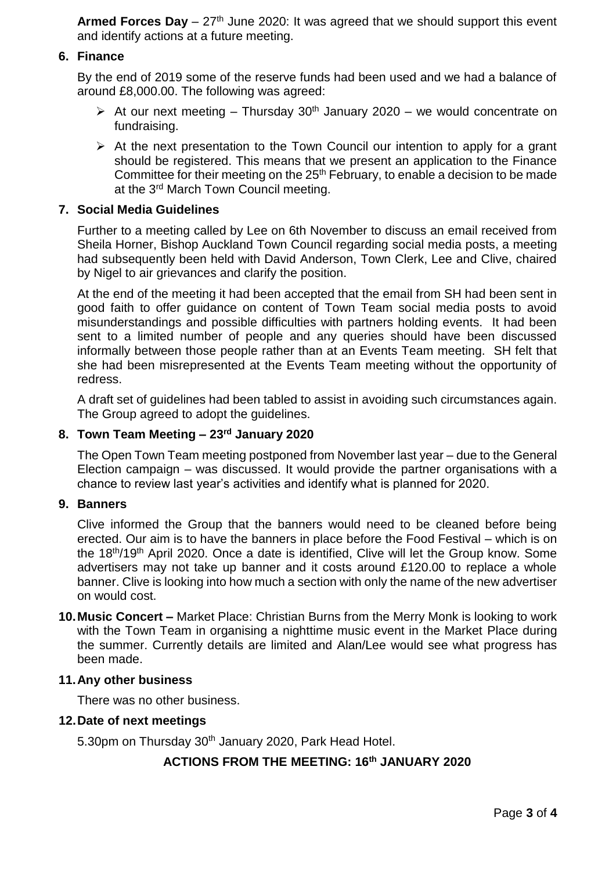**Armed Forces Day** – 27<sup>th</sup> June 2020: It was agreed that we should support this event and identify actions at a future meeting.

### **6. Finance**

By the end of 2019 some of the reserve funds had been used and we had a balance of around £8,000.00. The following was agreed:

- $\triangleright$  At our next meeting Thursday 30<sup>th</sup> January 2020 we would concentrate on fundraising.
- $\triangleright$  At the next presentation to the Town Council our intention to apply for a grant should be registered. This means that we present an application to the Finance Committee for their meeting on the  $25<sup>th</sup>$  February, to enable a decision to be made at the 3rd March Town Council meeting.

## **7. Social Media Guidelines**

Further to a meeting called by Lee on 6th November to discuss an email received from Sheila Horner, Bishop Auckland Town Council regarding social media posts, a meeting had subsequently been held with David Anderson, Town Clerk, Lee and Clive, chaired by Nigel to air grievances and clarify the position.

At the end of the meeting it had been accepted that the email from SH had been sent in good faith to offer guidance on content of Town Team social media posts to avoid misunderstandings and possible difficulties with partners holding events. It had been sent to a limited number of people and any queries should have been discussed informally between those people rather than at an Events Team meeting. SH felt that she had been misrepresented at the Events Team meeting without the opportunity of redress.

A draft set of guidelines had been tabled to assist in avoiding such circumstances again. The Group agreed to adopt the guidelines.

#### **8. Town Team Meeting – 23rd January 2020**

The Open Town Team meeting postponed from November last year – due to the General Election campaign – was discussed. It would provide the partner organisations with a chance to review last year's activities and identify what is planned for 2020.

#### **9. Banners**

Clive informed the Group that the banners would need to be cleaned before being erected. Our aim is to have the banners in place before the Food Festival – which is on the 18<sup>th</sup>/19<sup>th</sup> April 2020. Once a date is identified, Clive will let the Group know. Some advertisers may not take up banner and it costs around £120.00 to replace a whole banner. Clive is looking into how much a section with only the name of the new advertiser on would cost.

**10.Music Concert –** Market Place: Christian Burns from the Merry Monk is looking to work with the Town Team in organising a nighttime music event in the Market Place during the summer. Currently details are limited and Alan/Lee would see what progress has been made.

#### **11.Any other business**

There was no other business.

#### **12.Date of next meetings**

5.30pm on Thursday 30<sup>th</sup> January 2020, Park Head Hotel.

# **ACTIONS FROM THE MEETING: 16th JANUARY 2020**